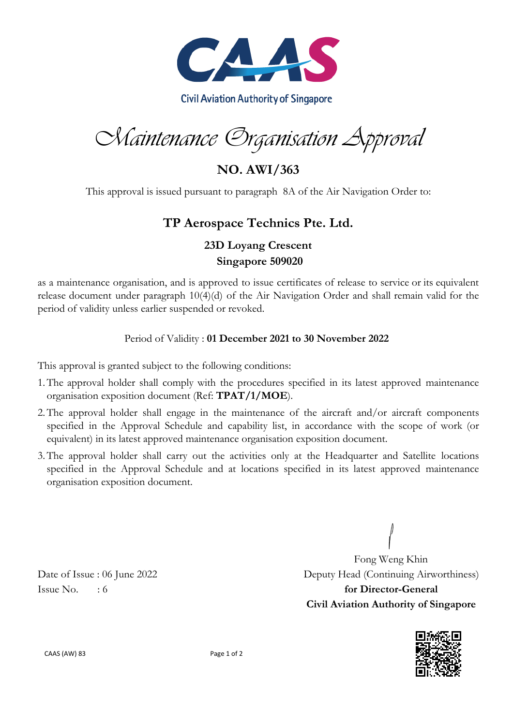

Maintenance Organisation Approval

**NO. AWI/363**

This approval is issued pursuant to paragraph 8A of the Air Navigation Order to:

## **TP Aerospace Technics Pte. Ltd.**

## **23D Loyang Crescent Singapore 509020**

as a maintenance organisation, and is approved to issue certificates of release to service or its equivalent release document under paragraph 10(4)(d) of the Air Navigation Order and shall remain valid for the period of validity unless earlier suspended or revoked.

## Period of Validity : **01 December 2021 to 30 November 2022**

This approval is granted subject to the following conditions:

- 1.The approval holder shall comply with the procedures specified in its latest approved maintenance organisation exposition document (Ref: **TPAT/1/MOE**).
- 2.The approval holder shall engage in the maintenance of the aircraft and/or aircraft components specified in the Approval Schedule and capability list, in accordance with the scope of work (or equivalent) in its latest approved maintenance organisation exposition document.
- 3.The approval holder shall carry out the activities only at the Headquarter and Satellite locations specified in the Approval Schedule and at locations specified in its latest approved maintenance organisation exposition document.

Fong Weng Khin Date of Issue : 06 June 2022 Deputy Head (Continuing Airworthiness) Issue No.  $\therefore$  6 **for Director-General Civil Aviation Authority of Singapore**



CAAS (AW) 83 Page 1 of 2